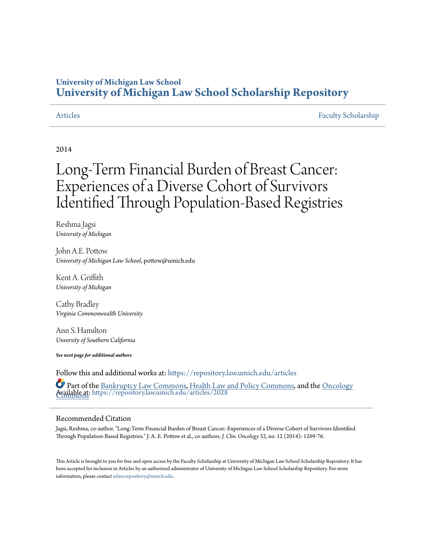### **University of Michigan Law School [University of Michigan Law School Scholarship Repository](https://repository.law.umich.edu?utm_source=repository.law.umich.edu%2Farticles%2F2028&utm_medium=PDF&utm_campaign=PDFCoverPages)**

[Articles](https://repository.law.umich.edu/articles?utm_source=repository.law.umich.edu%2Farticles%2F2028&utm_medium=PDF&utm_campaign=PDFCoverPages) [Faculty Scholarship](https://repository.law.umich.edu/faculty_scholarship?utm_source=repository.law.umich.edu%2Farticles%2F2028&utm_medium=PDF&utm_campaign=PDFCoverPages)

### 2014

# Long-Term Financial Burden of Breast Cancer: Experiences of a Diverse Cohort of Survivors Identified Through Population-Based Registries

Reshma Jagsi *University of Michigan*

John A.E. Pottow *University of Michigan Law School*, pottow@umich.edu

Kent A. Griffith *University of Michigan*

Cathy Bradley *Virginia Commonwealth University*

Ann S. Hamilton *Unversity of Southern California*

*See next page for additional authors*

Follow this and additional works at: [https://repository.law.umich.edu/articles](https://repository.law.umich.edu/articles?utm_source=repository.law.umich.edu%2Farticles%2F2028&utm_medium=PDF&utm_campaign=PDFCoverPages)

Available at: <https://repository.law.umich.edu/articles/2028> [Commons](http://network.bepress.com/hgg/discipline/694?utm_source=repository.law.umich.edu%2Farticles%2F2028&utm_medium=PDF&utm_campaign=PDFCoverPages) Part of the [Bankruptcy Law Commons,](http://network.bepress.com/hgg/discipline/583?utm_source=repository.law.umich.edu%2Farticles%2F2028&utm_medium=PDF&utm_campaign=PDFCoverPages) [Health Law and Policy Commons,](http://network.bepress.com/hgg/discipline/901?utm_source=repository.law.umich.edu%2Farticles%2F2028&utm_medium=PDF&utm_campaign=PDFCoverPages) and the [Oncology](http://network.bepress.com/hgg/discipline/694?utm_source=repository.law.umich.edu%2Farticles%2F2028&utm_medium=PDF&utm_campaign=PDFCoverPages)

### Recommended Citation

Jagsi, Reshma, co-author. "Long-Term Financial Burden of Breast Cancer: Experiences of a Diverse Cohort of Survivors Identified Through Population-Based Registries." J. A. E. Pottow et al., co-authors. *J. Clin. Oncology* 32, no. 12 (2014): 1269-76.

This Article is brought to you for free and open access by the Faculty Scholarship at University of Michigan Law School Scholarship Repository. It has been accepted for inclusion in Articles by an authorized administrator of University of Michigan Law School Scholarship Repository. For more information, please contact [mlaw.repository@umich.edu.](mailto:mlaw.repository@umich.edu)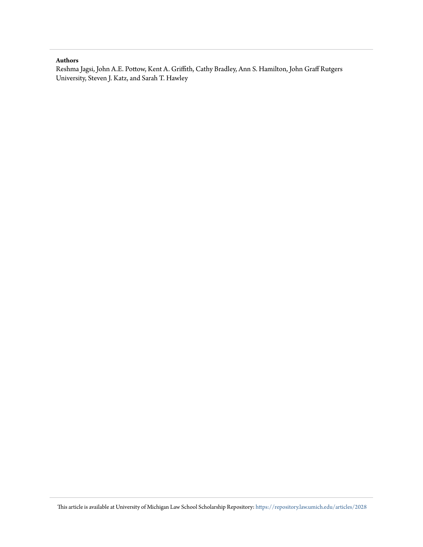### **Authors**

Reshma Jagsi, John A.E. Pottow, Kent A. Griffith, Cathy Bradley, Ann S. Hamilton, John Graff Rutgers University, Steven J. Katz, and Sarah T. Hawley

This article is available at University of Michigan Law School Scholarship Repository: [https://repository.law.umich.edu/articles/2028](https://repository.law.umich.edu/articles/2028?utm_source=repository.law.umich.edu%2Farticles%2F2028&utm_medium=PDF&utm_campaign=PDFCoverPages)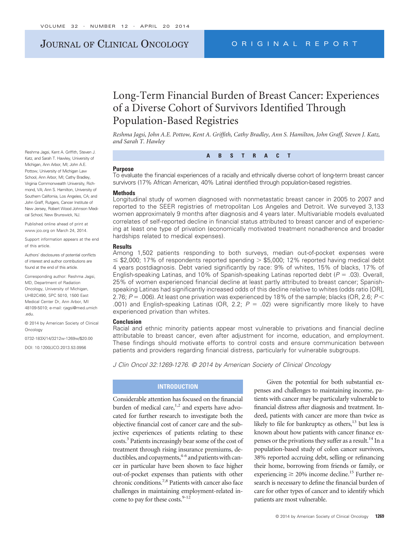### JOURNAL OF CLINICAL ONCOLOGY ORIGINAL REPORT

## Long-Term Financial Burden of Breast Cancer: Experiences of a Diverse Cohort of Survivors Identified Through Population-Based Registries

*Reshma Jagsi, John A.E. Pottow, Kent A. Griffith, Cathy Bradley, Ann S. Hamilton, John Graff, Steven J. Katz, and Sarah T. Hawley*

**ABSTRACT**

#### **Purpose**

To evaluate the financial experiences of a racially and ethnically diverse cohort of long-term breast cancer survivors (17% African American, 40% Latina) identified through population-based registries.

#### **Methods**

Longitudinal study of women diagnosed with nonmetastatic breast cancer in 2005 to 2007 and reported to the SEER registries of metropolitan Los Angeles and Detroit. We surveyed 3,133 women approximately 9 months after diagnosis and 4 years later. Multivariable models evaluated correlates of self-reported decline in financial status attributed to breast cancer and of experiencing at least one type of privation (economically motivated treatment nonadherence and broader hardships related to medical expenses).

#### **Results**

Among 1,502 patients responding to both surveys, median out-of-pocket expenses were  $\le$  \$2,000; 17% of respondents reported spending  $>$  \$5,000; 12% reported having medical debt 4 years postdiagnosis. Debt varied significantly by race: 9% of whites, 15% of blacks, 17% of English-speaking Latinas, and 10% of Spanish-speaking Latinas reported debt  $(P = .03)$ . Overall, 25% of women experienced financial decline at least partly attributed to breast cancer; Spanishspeaking Latinas had significantly increased odds of this decline relative to whites (odds ratio [OR], 2.76; *P* = .006). At least one privation was experienced by 18% of the sample; blacks (OR, 2.6; *P* < .001) and English-speaking Latinas (OR, 2.2;  $P = .02$ ) were significantly more likely to have experienced privation than whites.

#### **Conclusion**

Racial and ethnic minority patients appear most vulnerable to privations and financial decline attributable to breast cancer, even after adjustment for income, education, and employment. These findings should motivate efforts to control costs and ensure communication between patients and providers regarding financial distress, particularly for vulnerable subgroups.

*J Clin Oncol 32:1269-1276. © 2014 by American Society of Clinical Oncology*

#### **INTRODUCTION**

Considerable attention has focused on the financial burden of medical care, $1,2$  and experts have advocated for further research to investigate both the objective financial cost of cancer care and the subjective experiences of patients relating to these costs.3 Patients increasingly bear some of the cost of treatment through rising insurance premiums, deductibles, and copayments, <sup>4-6</sup> and patients with cancer in particular have been shown to face higher out-of-pocket expenses than patients with other chronic conditions.7,8 Patients with cancer also face challenges in maintaining employment-related income to pay for these costs. $9-12$ 

Given the potential for both substantial expenses and challenges to maintaining income, patients with cancer may be particularly vulnerable to financial distress after diagnosis and treatment. Indeed, patients with cancer are more than twice as likely to file for bankruptcy as others, $13$  but less is known about how patients with cancer finance expenses or the privations they suffer as a result.<sup>14</sup> In a population-based study of colon cancer survivors, 38% reported accruing debt, selling or refinancing their home, borrowing from friends or family, or experiencing  $\geq 20\%$  income decline.<sup>15</sup> Further research is necessary to define the financial burden of care for other types of cancer and to identify which patients are most vulnerable.

Reshma Jagsi, Kent A. Griffith, Steven J. Katz, and Sarah T. Hawley, University of Michigan, Ann Arbor, MI; John A.E. Pottow, University of Michigan Law School, Ann Arbor, MI; Cathy Bradley, Virginia Commonwealth University, Richmond, VA; Ann S. Hamilton, University of Southern California, Los Angeles, CA; and John Graff, Rutgers, Cancer Institute of New Jersey, Robert Wood Johnson Medical School, New Brunswick, NJ.

Published online ahead of print at www.jco.org on March 24, 2014.

Support information appears at the end of this article.

Authors' disclosures of potential conflicts of interest and author contributions are found at the end of this article.

Corresponding author: Reshma Jagsi, MD, Department of Radiation Oncology, University of Michigan, UHB2C490, SPC 5010, 1500 East Medical Center Dr, Ann Arbor, MI 48109-5010; e-mail: rjagsi@med.umich .edu.

© 2014 by American Society of Clinical Oncology

0732-183X/14/3212w-1269w/\$20.00

DOI: 10.1200/JCO.2013.53.0956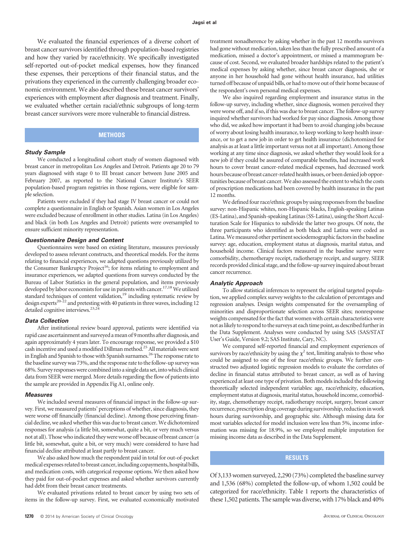We evaluated the financial experiences of a diverse cohort of breast cancer survivors identified through population-based registries and how they varied by race/ethnicity. We specifically investigated self-reported out-of-pocket medical expenses, how they financed these expenses, their perceptions of their financial status, and the privations they experienced in the currently challenging broader economic environment. We also described these breast cancer survivors' experiences with employment after diagnosis and treatment. Finally, we evaluated whether certain racial/ethnic subgroups of long-term breast cancer survivors were more vulnerable to financial distress.

#### **METHODS**

#### *Study Sample*

We conducted a longitudinal cohort study of women diagnosed with breast cancer in metropolitan Los Angeles and Detroit. Patients age 20 to 79 years diagnosed with stage 0 to III breast cancer between June 2005 and February 2007, as reported to the National Cancer Institute's SEER population-based program registries in those regions, were eligible for sample selection.

Patients were excluded if they had stage IV breast cancer or could not complete a questionnaire in English or Spanish. Asian women in Los Angeles were excluded because of enrollment in other studies. Latina (in Los Angeles) and black (in both Los Angeles and Detroit) patients were oversampled to ensure sufficient minority representation.

#### *Questionnaire Design and Content*

Questionnaires were based on existing literature, measures previously developed to assess relevant constructs, and theoretical models. For the items relating to financial experiences, we adapted questions previously utilized by the Consumer Bankruptcy Project<sup>16</sup>; for items relating to employment and insurance experiences, we adapted questions from surveys conducted by the Bureau of Labor Statistics in the general population, and items previously developed by labor economists for use in patients with cancer.<sup>17,18</sup> We utilized standard techniques of content validation,<sup>19</sup> including systematic review by design experts<sup>20-22</sup> and pretesting with 40 patients in three waves, including 12 detailed cognitive interviews.<sup>23,24</sup>

#### *Data Collection*

After institutional review board approval, patients were identified via rapid case ascertainment and surveyed amean of 9months after diagnosis, and again approximately 4 years later. To encourage response, we provided a \$10 cash incentive and used a modified Dillman method.<sup>25</sup> All materials were sent in English and Spanish to those with Spanish surnames.<sup>26</sup> The response rate to the baseline survey was 73%, and the response rate to the follow-up survey was 68%. Survey responses were combined into a single data set, into which clinical data from SEER were merged. More details regarding the flow of patients into the sample are provided in Appendix Fig A1, online only.

#### *Measures*

We included several measures of financial impact in the follow-up survey. First, we measured patients' perceptions of whether, since diagnosis, they were worse off financially (financial decline). Among those perceiving financial decline, we asked whether this was due to breast cancer. We dichotomized responses for analysis (a little bit, somewhat, quite a bit, or very much versus not at all). Those who indicated they were worse off because of breast cancer (a little bit, somewhat, quite a bit, or very much) were considered to have had financial decline attributed at least partly to breast cancer.

We also asked how much the respondent paid in total for out-of-pocket medical expenses related to breast cancer, including copayments, hospital bills, and medication costs, with categorical response options. We then asked how they paid for out-of-pocket expenses and asked whether survivors currently had debt from their breast cancer treatments.

We evaluated privations related to breast cancer by using two sets of items in the follow-up survey. First, we evaluated economically motivated

treatment nonadherence by asking whether in the past 12 months survivors had gone without medication, taken less than the fully prescribed amount of a medication, missed a doctor's appointment, or missed a mammogram because of cost. Second, we evaluated broader hardships related to the patient's medical expenses by asking whether, since breast cancer diagnosis, she or anyone in her household had gone without health insurance, had utilities turned off because of unpaid bills, or had to move out of their home because of the respondent's own personal medical expenses.

We also inquired regarding employment and insurance status in the follow-up survey, including whether, since diagnosis, women perceived they were worse off, and if so, if this was due to breast cancer. The follow-up survey inquired whether survivors had worked for pay since diagnosis. Among those who did, we asked how important it had been to avoid changing jobs because of worry about losing health insurance, to keep working to keep health insurance, or to get a new job in order to get health insurance (dichotomized for analysis as at least a little important versus not at all important). Among those working at any time since diagnosis, we asked whether they would look for a new job if they could be assured of comparable benefits, had increased work hours to cover breast cancer-related medical expenses, had decreased work hours because of breast cancer-related health issues, or been denied job opportunities because of breast cancer.We also assessed the extent to which the costs of prescription medications had been covered by health insurance in the past 12 months.

We defined four race/ethnic groups by using responses from the baseline survey: non-Hispanic whites, non-Hispanic blacks, English-speaking Latinas (ES-Latina), and Spanish-speaking Latinas (SS-Latina), using the Short Acculturation Scale for Hispanics to subdivide the latter two groups. Of note, the three participants who identified as both black and Latina were coded as Latina. We measured other pertinent sociodemographic factors in the baseline survey: age, education, employment status at diagnosis, marital status, and household income. Clinical factors measured in the baseline survey were comorbidity, chemotherapy receipt, radiotherapy receipt, and surgery. SEER records provided clinical stage, and the follow-up survey inquired about breast cancer recurrence.

#### *Analytic Approach*

To allow statistical inferences to represent the original targeted population, we applied complex survey weights to the calculation of percentages and regression analyses. Design weights compensated for the oversampling of minorities and disproportionate selection across SEER sites; nonresponse weights compensated for the fact that women with certain characteristics were not as likely to respond to the surveys at each time point, as described further in the Data Supplement. Analyses were conducted by using SAS (SAS/STAT User's Guide, Version 9.2; SAS Institute, Cary, NC).

We compared self-reported financial and employment experiences of survivors by race/ethnicity by using the  $\chi^2$  test, limiting analysis to those who could be assigned to one of the four race/ethnic groups. We further constructed two adjusted logistic regression models to evaluate the correlates of decline in financial status attributed to breast cancer, as well as of having experienced at least one type of privation. Both models included the following theoretically selected independent variables: age, race/ethnicity, education, employment status at diagnosis, marital status, household income, comorbidity, stage, chemotherapy receipt, radiotherapy receipt, surgery, breast cancer recurrence, prescription drug coverage during survivorship, reduction in work hours during survivorship, and geographic site. Although missing data for most variables selected for model inclusion were less than 5%, income information was missing for 18.9%, so we employed multiple imputation for missing income data as described in the Data Supplement.

#### **RESULTS**

Of 3,133women surveyed, 2,290 (73%) completed the baseline survey and 1,536 (68%) completed the follow-up, of whom 1,502 could be categorized for race/ethnicity. Table 1 reports the characteristics of these 1,502 patients. The sample was diverse, with 17% black and 40%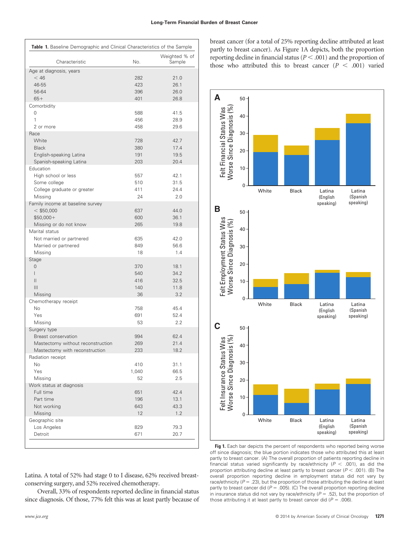| Table 1. Baseline Demographic and Clinical Characteristics of the Sample |            |                         |  |  |  |
|--------------------------------------------------------------------------|------------|-------------------------|--|--|--|
| Characteristic                                                           | No.        | Weighted % of<br>Sample |  |  |  |
| Age at diagnosis, years                                                  |            |                         |  |  |  |
| $<$ 46                                                                   | 282        | 21.0                    |  |  |  |
| 46-55                                                                    | 423        | 26.1                    |  |  |  |
| 56-64                                                                    | 396        | 26.0                    |  |  |  |
| $65+$                                                                    | 401        | 26.8                    |  |  |  |
| Comorbidity                                                              |            |                         |  |  |  |
| 0                                                                        | 588        | 41.5                    |  |  |  |
| 1                                                                        | 456        | 28.9                    |  |  |  |
| 2 or more                                                                | 458        | 29.6                    |  |  |  |
| Race                                                                     |            |                         |  |  |  |
| White                                                                    | 728        | 42.7                    |  |  |  |
| <b>Black</b>                                                             | 380        | 17.4                    |  |  |  |
| English-speaking Latina                                                  | 191        | 19.5                    |  |  |  |
| Spanish-speaking Latina                                                  | 203        | 20.4                    |  |  |  |
| Education                                                                |            |                         |  |  |  |
| High school or less                                                      | 557        | 42.1                    |  |  |  |
| Some college                                                             | 510        | 31.5                    |  |  |  |
| College graduate or greater                                              | 411        | 24.4                    |  |  |  |
| Missing                                                                  | 24         | 2.0                     |  |  |  |
| Family income at baseline survey                                         |            |                         |  |  |  |
| $<$ \$50,000                                                             | 637        | 44.0                    |  |  |  |
| $$50,000+$                                                               | 600        | 36.1                    |  |  |  |
| Missing or do not know                                                   | 265        | 19.8                    |  |  |  |
| Marital status                                                           |            |                         |  |  |  |
| Not married or partnered                                                 | 635        | 42.0                    |  |  |  |
| Married or partnered                                                     | 849        | 56.6                    |  |  |  |
| Missing                                                                  | 18         | 1.4                     |  |  |  |
| Stage                                                                    |            |                         |  |  |  |
| 0                                                                        | 370        | 18.1                    |  |  |  |
| $\mathsf{I}$                                                             | 540        | 34.2                    |  |  |  |
| $\mathsf{II}$                                                            | 416        | 32.5                    |  |  |  |
| $\mathbf{III}$                                                           | 140        | 11.8                    |  |  |  |
| Missing                                                                  | 36         | 3.2                     |  |  |  |
| Chemotherapy receipt                                                     |            |                         |  |  |  |
| No                                                                       | 758        | 45.4                    |  |  |  |
| Yes                                                                      | 691        | 52.4                    |  |  |  |
| Missing                                                                  | 53         | 2.2                     |  |  |  |
| Surgery type<br>Breast conservation                                      | 994        | 62.4                    |  |  |  |
|                                                                          |            | 21.4                    |  |  |  |
| Mastectomy without reconstruction<br>Mastectomy with reconstruction      | 269<br>233 | 18.2                    |  |  |  |
| Radiation receipt                                                        |            |                         |  |  |  |
| No                                                                       | 410        | 31.1                    |  |  |  |
| Yes                                                                      | 1,040      | 66.5                    |  |  |  |
| Missing                                                                  | 52         | 2.5                     |  |  |  |
| Work status at diagnosis                                                 |            |                         |  |  |  |
| Full time                                                                | 651        | 42.4                    |  |  |  |
| Part time                                                                | 196        | 13.1                    |  |  |  |
| Not working                                                              | 643        | 43.3                    |  |  |  |
| Missing                                                                  | 12         | 1.2                     |  |  |  |
| Geographic site                                                          |            |                         |  |  |  |
| Los Angeles                                                              | 829        | 79.3                    |  |  |  |
| Detroit                                                                  | 671        | 20.7                    |  |  |  |
|                                                                          |            |                         |  |  |  |

breast cancer (for a total of 25% reporting decline attributed at least partly to breast cancer). As Figure 1A depicts, both the proportion reporting decline in financial status ( $P < .001$ ) and the proportion of those who attributed this to breast cancer  $(P < .001)$  varied



Fig 1. Each bar depicts the percent of respondents who reported being worse off since diagnosis; the blue portion indicates those who attributed this at least partly to breast cancer. (A) The overall proportion of patients reporting decline in financial status varied significantly by race/ethnicity  $(P < .001)$ , as did the proportion attributing decline at least partly to breast cancer ( $P < .001$ ). (B) The overall proportion reporting decline in employment status did not vary by race/ethnicity ( $P = .23$ ), but the proportion of those attributing the decline at least partly to breast cancer did ( $P = .005$ ). (C) The overall proportion reporting decline in insurance status did not vary by race/ethnicity ( $P = .52$ ), but the proportion of those attributing it at least partly to breast cancer did  $(P = .006)$ .

Latina. A total of 52% had stage 0 to I disease, 62% received breastconserving surgery, and 52% received chemotherapy.

Overall, 33% of respondents reported decline in financial status since diagnosis. Of those, 77% felt this was at least partly because of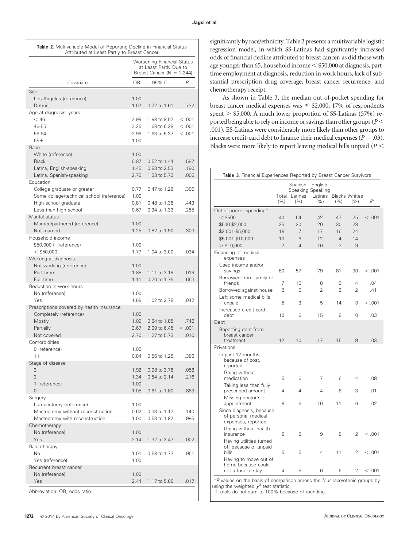|                                                                                                                                        | Attributed at Least Partly to Breast Cancer<br><b>Worsening Financial Status</b><br>at Least Partly Due to<br>Breast Cancer ( $N = 1,244$ ) |                                              |                              |  |
|----------------------------------------------------------------------------------------------------------------------------------------|---------------------------------------------------------------------------------------------------------------------------------------------|----------------------------------------------|------------------------------|--|
| Covariate                                                                                                                              | 0R                                                                                                                                          | 95% CI                                       | P                            |  |
| Site                                                                                                                                   |                                                                                                                                             |                                              |                              |  |
| Los Angeles (reference)<br>Detroit                                                                                                     | 1.00<br>1.07                                                                                                                                | 0.72 to 1.61                                 | .732                         |  |
| Age at diagnosis, years<br>$<$ 46<br>46-55<br>56-64<br>$65+$                                                                           | 3.99<br>3.25<br>2.96<br>1.00                                                                                                                | 1.98 to 8.07<br>1.68 to 6.28<br>1.63 to 5.37 | < 0.001<br>< 0.001<br>< .001 |  |
| Race<br>White (reference)<br><b>Black</b><br>Latina, English-speaking<br>Latina, Spanish-speaking                                      | 1.00<br>0.87<br>1.45<br>2.76                                                                                                                | 0.52 to 1.44<br>0.83 to 2.53<br>1.33 to 5.72 | .587<br>.190<br>.006         |  |
| Education<br>College graduate or greater<br>Some college/technical school (reference)<br>High school graduate<br>Less than high school | 0.77<br>1.00<br>0.81<br>0.67                                                                                                                | 0.47 to 1.26<br>0.48 to 1.38<br>0.34 to 1.33 | .300<br>.443<br>.255         |  |
| Marital status<br>Married/partnered (reference)<br>Not married                                                                         | 1.00<br>1.25                                                                                                                                | 0.82 to 1.90                                 | .303                         |  |
| Household income<br>\$50,000+ (reference)<br>$<$ \$50,000                                                                              | 1.00<br>1.77                                                                                                                                | 1.04 to 3.00                                 | .034                         |  |
| Working at diagnosis<br>Not working (reference)<br>Part time<br>Full time<br>Reduction in work hours                                   | 1.00<br>1.88<br>1.11                                                                                                                        | 1.11 to 3.19<br>0.70 to 1.75                 | .019<br>.663                 |  |
| No (reference)<br>Yes                                                                                                                  | 1.00<br>1.68                                                                                                                                | 1.02 to 2.78                                 | .042                         |  |
| Prescriptions covered by health insurance<br>Completely (reference)<br>Mostly<br>Partially<br>Not covered                              | 1.00<br>1.09<br>3.67<br>2.70                                                                                                                | 0.64 to 1.85<br>2.09 to 6.45<br>1.27 to 5.73 | .746<br>< 0.001<br>.010      |  |
| Comorbidities<br>0 (reference)<br>$1 +$                                                                                                | 1.00<br>0.84                                                                                                                                | 0.56 to 1.25                                 | .386                         |  |
| Stage of disease<br>3<br>$\overline{2}$<br>1 (reference)<br>$\overline{0}$                                                             | 1.92<br>1.34<br>1.00<br>1.05                                                                                                                | 0.98 to 3.76<br>0.84 to 2.14<br>0.61 to 1.80 | .058<br>.216<br>.869         |  |
| Surgery<br>Lumpectomy (reference)<br>Mastectomy without reconstruction<br>Mastectomy with reconstruction                               | 1.00<br>0.62<br>1.00                                                                                                                        | 0.33 to 1.17<br>0.53 to 1.87                 | .140<br>.995                 |  |
| Chemotherapy<br>No (reference)<br>Yes                                                                                                  | 1.00<br>2.14                                                                                                                                | 1.32 to 3.47                                 | .002                         |  |
| Radiotherapy<br>No<br>Yes (reference)                                                                                                  | 1.01<br>1.00                                                                                                                                | 0.58 to 1.77                                 | .961                         |  |
| Recurrent breast cancer<br>No (reference)<br>Yes                                                                                       | 1.00<br>2.44                                                                                                                                | 1.17 to 5.06                                 | .017                         |  |

significantly by race/ethnicity. Table 2 presents a multivariable logistic regression model, in which SS-Latinas had significantly increased odds of financial decline attributed to breast cancer, as did those with age younger than 65, household income  $\leq$  \$50,000 at diagnosis, parttime employment at diagnosis, reduction in work hours, lack of substantial prescription drug coverage, breast cancer recurrence, and chemotherapy receipt.

As shown in Table 3, the median out-of-pocket spending for breast cancer medical expenses was  $\le$  \$2,000; 17% of respondents spent  $>$  \$5,000. A much lower proportion of SS-Latinas (57%) reported being able to rely on income or savings than other groups (*P* .001). ES-Latinas were considerably more likely than other groups to increase credit-card debt to finance their medical expenses ( $P = .03$ ). Blacks were more likely to report leaving medical bills unpaid (*P*

|                                                                       | Total<br>(%) | Spanish-<br>Latinas<br>(%) | English-<br>Speaking Speaking<br>Latinas<br>(%) | (%)            | <b>Blacks Whites</b><br>(%) | $P^*$   |
|-----------------------------------------------------------------------|--------------|----------------------------|-------------------------------------------------|----------------|-----------------------------|---------|
| Out-of-pocket spendingt                                               |              |                            |                                                 |                |                             |         |
| $<$ \$500                                                             | 40           | 64                         | 42                                              | 47             | 25                          | < 0.001 |
| \$500-\$2,000                                                         | 25           | 20                         | 20                                              | 30             | 28                          |         |
| \$2,001-\$5,000                                                       | 18           | 7                          | 17                                              | 16             | 24                          |         |
| \$5,001-\$10,000                                                      | 10           | 6                          | 12                                              | $\overline{4}$ | 14                          |         |
| $>$ \$10,000                                                          | 7            | $\overline{4}$             | 10                                              | 3              | 9                           |         |
| Financing of medical<br>expenses                                      |              |                            |                                                 |                |                             |         |
| Used income and/or<br>savings                                         | 80           | 57                         | 79                                              | 81             | 90                          | < 0.001 |
| Borrowed from family or<br>friends                                    | 7            | 10                         |                                                 | 9              | $\overline{4}$              | .04     |
| Borrowed against house                                                | 2            | $\Omega$                   | 8<br>$\overline{2}$                             | $\overline{2}$ | 2                           | .41     |
|                                                                       |              |                            |                                                 |                |                             |         |
| Left some medical bills<br>unpaid                                     | 5            | 3                          | 5                                               | 14             | 3                           | < .001  |
| Increased credit card<br>debt                                         | 10           | 6                          | 15                                              | 8              | 10                          | .03     |
| Debt                                                                  |              |                            |                                                 |                |                             |         |
| Reporting debt from<br>breast cancer<br>treatment                     | 12           | 10                         | 17                                              | 15             | 9                           | .03     |
| Privations                                                            |              |                            |                                                 |                |                             |         |
| In past 12 months,<br>because of cost,<br>reported                    |              |                            |                                                 |                |                             |         |
| Going without<br>medication                                           | 5            | 6                          | 7                                               | 6              | 4                           | .08     |
| Taking less than fully<br>prescribed amount                           | 4            | 4                          | 4                                               | 6              | 3                           | .01     |
| Missing doctor's<br>appointment                                       | 8            | 6                          | 10                                              | 11             | 6                           | .02     |
| Since diagnosis, because<br>of personal medical<br>expenses, reported |              |                            |                                                 |                |                             |         |
| Going without health<br>insurance                                     | 6            | 8                          | 9                                               | 8              | 2                           | < 0.001 |
| Having utilities turned<br>off because of unpaid<br>bills             | 5            | 5                          | 4                                               | 11             | 2                           | < 0.001 |
| Having to move out of<br>home because could<br>not afford to stay     | 4            | 5                          | 6                                               | 6              | $\overline{2}$              | < 0.001 |

†Totals do not sum to 100% because of rounding.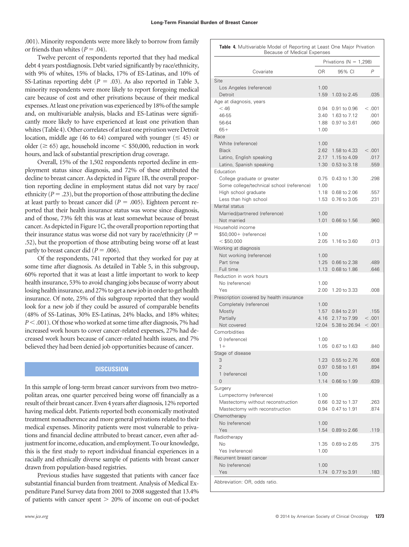.001). Minority respondents were more likely to borrow from family or friends than whites  $(P = .04)$ .

Twelve percent of respondents reported that they had medical debt 4 years postdiagnosis. Debt varied significantly by race/ethnicity, with 9% of whites, 15% of blacks, 17% of ES-Latinas, and 10% of SS-Latinas reporting debt ( $P = .03$ ). As also reported in Table 3, minority respondents were more likely to report foregoing medical care because of cost and other privations because of their medical expenses. At least one privation was experienced by 18% of the sample and, on multivariable analysis, blacks and ES-Latinas were significantly more likely to have experienced at least one privation than whites (Table 4). Other correlates of at least one privation were Detroit location, middle age (46 to 64) compared with younger ( $\leq$  45) or older ( $\geq 65$ ) age, household income  $\leq$  \$50,000, reduction in work hours, and lack of substantial prescription drug coverage.

Overall, 15% of the 1,502 respondents reported decline in employment status since diagnosis, and 72% of these attributed the decline to breast cancer. As depicted in Figure 1B, the overall proportion reporting decline in employment status did not vary by race/ ethnicity ( $P = .23$ ), but the proportion of those attributing the decline at least partly to breast cancer did  $(P = .005)$ . Eighteen percent reported that their health insurance status was worse since diagnosis, and of those, 73% felt this was at least somewhat because of breast cancer. As depicted in Figure 1C, the overall proportion reporting that their insurance status was worse did not vary by race/ethnicity  $(P =$ .52), but the proportion of those attributing being worse off at least partly to breast cancer did  $(P = .006)$ .

Of the respondents, 741 reported that they worked for pay at some time after diagnosis. As detailed in Table 5, in this subgroup, 60% reported that it was at least a little important to work to keep health insurance, 53% to avoid changing jobs because of worry about losing health insurance, and 27% to get a new job in order to get health insurance. Of note, 25% of this subgroup reported that they would look for a new job if they could be assured of comparable benefits (48% of SS-Latinas, 30% ES-Latinas, 24% blacks, and 18% whites; *P* < .001). Of those who worked at some time after diagnosis, 7% had increased work hours to cover cancer-related expenses, 27% had decreased work hours because of cancer-related health issues, and 7% believed they had been denied job opportunities because of cancer.

### **DISCUSSION**

In this sample of long-term breast cancer survivors from two metropolitan areas, one quarter perceived being worse off financially as a result of their breast cancer. Even 4 years after diagnosis, 12% reported having medical debt. Patients reported both economically motivated treatment nonadherence and more general privations related to their medical expenses. Minority patients were most vulnerable to privations and financial decline attributed to breast cancer, even after adjustment for income, education, and employment. To our knowledge, this is the first study to report individual financial experiences in a racially and ethnically diverse sample of patients with breast cancer drawn from population-based registries.

Previous studies have suggested that patients with cancer face substantial financial burden from treatment. Analysis of Medical Expenditure Panel Survey data from 2001 to 2008 suggested that 13.4% of patients with cancer spent  $> 20\%$  of income on out-of-pocket

|  | <b>Table 4.</b> Multivariable Model of Reporting at Least One Major Privation |
|--|-------------------------------------------------------------------------------|
|  | Because of Medical Expenses                                                   |

| Covariate<br>0R<br>95% CI<br>P<br>Site<br>Los Angeles (reference)<br>1.00<br>Detroit<br>1.59<br>1.03 to 2.45<br>.035<br>Age at diagnosis, years<br>$<$ 46<br>0.94<br>0.91 to 0.96<br>< 0.001<br>46-55<br>3.40<br>1.63 to 7.12<br>.001<br>56-64<br>1.88<br>0.97 to 3.61<br>.060<br>$65+$<br>1.00<br>Race<br>White (reference)<br>1.00<br><b>Black</b><br>2.62<br>1.58 to 4.33<br>< 0.001 |
|-----------------------------------------------------------------------------------------------------------------------------------------------------------------------------------------------------------------------------------------------------------------------------------------------------------------------------------------------------------------------------------------|
|                                                                                                                                                                                                                                                                                                                                                                                         |
|                                                                                                                                                                                                                                                                                                                                                                                         |
|                                                                                                                                                                                                                                                                                                                                                                                         |
|                                                                                                                                                                                                                                                                                                                                                                                         |
|                                                                                                                                                                                                                                                                                                                                                                                         |
|                                                                                                                                                                                                                                                                                                                                                                                         |
|                                                                                                                                                                                                                                                                                                                                                                                         |
|                                                                                                                                                                                                                                                                                                                                                                                         |
|                                                                                                                                                                                                                                                                                                                                                                                         |
|                                                                                                                                                                                                                                                                                                                                                                                         |
| Latino, English speaking<br>2.17<br>1.15 to 4.09<br>.017<br>1.30<br>0.53 to 3.18<br>Latino, Spanish speaking<br>.559                                                                                                                                                                                                                                                                    |
| Education                                                                                                                                                                                                                                                                                                                                                                               |
| College graduate or greater<br>0.75<br>0.43 to 1.30<br>.298                                                                                                                                                                                                                                                                                                                             |
| Some college/technical school (reference)<br>1.00                                                                                                                                                                                                                                                                                                                                       |
| High school graduate<br>1.18<br>0.68 to 2.06<br>.557<br>0.76 to 3.05<br>Less than high school<br>1.53<br>.231                                                                                                                                                                                                                                                                           |
| Marital status                                                                                                                                                                                                                                                                                                                                                                          |
| Married/partnered (reference)<br>1.00                                                                                                                                                                                                                                                                                                                                                   |
| Not married<br>1.01<br>0.66 to 1.56<br>.960                                                                                                                                                                                                                                                                                                                                             |
| Household income                                                                                                                                                                                                                                                                                                                                                                        |
| \$50,000+ (reference)<br>1.00<br>$<$ \$50,000<br>2.05<br>1.16 to 3.60<br>.013                                                                                                                                                                                                                                                                                                           |
| Working at diagnosis                                                                                                                                                                                                                                                                                                                                                                    |
| Not working (reference)<br>1.00                                                                                                                                                                                                                                                                                                                                                         |
| Part time<br>1.25<br>0.66 to 2.38<br>.489                                                                                                                                                                                                                                                                                                                                               |
| Full time<br>1.13<br>0.68 to 1.86<br>.646<br>Reduction in work hours                                                                                                                                                                                                                                                                                                                    |
| No (reference)<br>1.00                                                                                                                                                                                                                                                                                                                                                                  |
| Yes<br>2.00<br>1.20 to 3.33<br>.008                                                                                                                                                                                                                                                                                                                                                     |
| Prescription covered by health insurance                                                                                                                                                                                                                                                                                                                                                |
| Completely (reference)<br>1.00<br>Mostly<br>1.57<br>0.84 to 2.91<br>.155                                                                                                                                                                                                                                                                                                                |
| Partially<br>4.16<br>2.17 to 7.99<br>< 0.001                                                                                                                                                                                                                                                                                                                                            |
| Not covered<br>12.04<br>5.38 to 26.94<br>< 0.001                                                                                                                                                                                                                                                                                                                                        |
| Comorbidities                                                                                                                                                                                                                                                                                                                                                                           |
| 0 (reference)<br>1.00<br>$1+$<br>1.05<br>0.67 to 1.63<br>.840                                                                                                                                                                                                                                                                                                                           |
| Stage of disease                                                                                                                                                                                                                                                                                                                                                                        |
| 3<br>1.23<br>0.55 to 2.76<br>.608                                                                                                                                                                                                                                                                                                                                                       |
| $\mathfrak{D}$<br>.894<br>0.97 0.58 to 1.61                                                                                                                                                                                                                                                                                                                                             |
| 1 (reference)<br>1.00<br>0                                                                                                                                                                                                                                                                                                                                                              |
| 1.14<br>0.66 to 1.99<br>.639<br>Surgery                                                                                                                                                                                                                                                                                                                                                 |
| Lumpectomy (reference)<br>1.00                                                                                                                                                                                                                                                                                                                                                          |
| Mastectomy without reconstruction<br>0.66<br>0.32 to 1.37<br>.263                                                                                                                                                                                                                                                                                                                       |
| Mastectomy with reconstruction<br>0.94<br>0.47 to 1.91<br>.874                                                                                                                                                                                                                                                                                                                          |
| Chemotherapy<br>No (reference)<br>1.00                                                                                                                                                                                                                                                                                                                                                  |
| Yes<br>1.54<br>0.89 to 2.66<br>.119                                                                                                                                                                                                                                                                                                                                                     |
| Radiotherapy                                                                                                                                                                                                                                                                                                                                                                            |
| No<br>1.35<br>0.69 to 2.65<br>.375                                                                                                                                                                                                                                                                                                                                                      |
| Yes (reference)<br>1.00<br>Recurrent breast cancer                                                                                                                                                                                                                                                                                                                                      |
| No (reference)<br>1.00                                                                                                                                                                                                                                                                                                                                                                  |
| Yes<br>1.74<br>0.77 to 3.91<br>.183                                                                                                                                                                                                                                                                                                                                                     |
| Abbreviation: OR, odds ratio.                                                                                                                                                                                                                                                                                                                                                           |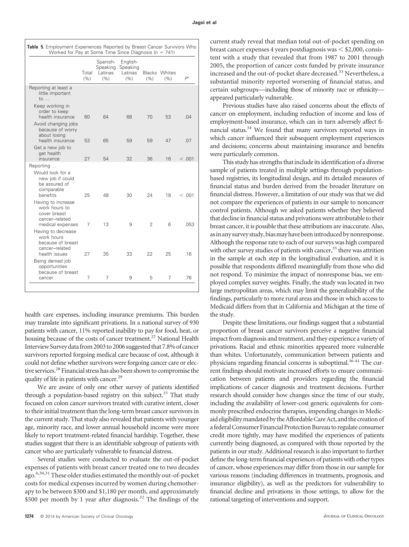|                                                                                                                 | Total<br>(% ) | Spanish-<br>Speaking<br>Latinas<br>(% ) | English-<br>Speaking<br>Latinas<br>(%) | (%) | <b>Blacks</b> Whites<br>(%) | $P^*$  |
|-----------------------------------------------------------------------------------------------------------------|---------------|-----------------------------------------|----------------------------------------|-----|-----------------------------|--------|
| Reporting at least a<br>little important<br>to $\ldots$                                                         |               |                                         |                                        |     |                             |        |
| Keep working in<br>order to keep<br>health insurance                                                            | 60            | 64                                      | 68                                     | 70  | 53                          | .04    |
| Avoid changing jobs<br>because of worry<br>about losing<br>health insurance                                     | 53            | 65                                      | 59                                     | 59  | 47                          | .07    |
| Get a new job to<br>get health<br>insurance                                                                     | 27            | 54                                      | 32                                     | 36  | 16                          | < .001 |
| Reporting<br>Would look for a<br>new job if could<br>be assured of<br>comparable<br>benefits                    | 25            | 48                                      | 30                                     | 24  | 18                          | <.001  |
| Having to increase<br>work hours to<br>cover breast<br>cancer-related<br>medical expenses<br>Having to decrease | 7             | 13                                      | 9                                      | 2   | 6                           | .053   |
| work hours<br>because of breast<br>cancer-related<br>health issues                                              | 27            | 35                                      | 33                                     | 22  | 25                          | .16    |
| Being denied job<br>opportunities<br>because of breast<br>cancer                                                | 7             | 7                                       | 9                                      | 5   | 7                           | .76    |

health care expenses, including insurance premiums. This burden may translate into significant privations. In a national survey of 930 patients with cancer, 11% reported inability to pay for food, heat, or housing because of the costs of cancer treatment.<sup>27</sup> National Health Interview Survey datafrom 2003 to 2006 suggested that 7.8% of cancer survivors reported forgoing medical care because of cost, although it could not define whether survivors were forgoing cancer care or elective services.28 Financial stress has also been shown to compromise the quality of life in patients with cancer.29

We are aware of only one other survey of patients identified through a population-based registry on this subject.<sup>15</sup> That study focused on colon cancer survivors treated with curative intent, closer to their initial treatment than the long-term breast cancer survivors in the current study. That study also revealed that patients with younger age, minority race, and lower annual household income were more likely to report treatment-related financial hardship. Together, these studies suggest that there is an identifiable subgroup of patients with cancer who are particularly vulnerable to financial distress.

Several studies were conducted to evaluate the out-of-pocket expenses of patients with breast cancer treated one to two decades ago.<sup>6,30,31</sup> These older studies estimated the monthly out-of-pocket costs for medical expenses incurred by women during chemotherapy to be between \$300 and \$1,180 per month, and approximately \$500 per month by 1 year after diagnosis.<sup>32</sup> The findings of the

current study reveal that median total out-of-pocket spending on breast cancer expenses 4 years postdiagnosis was  $\le$  \$2,000, consistent with a study that revealed that from 1987 to 2001 through 2005, the proportion of cancer costs funded by private insurance increased and the out-of-pocket share decreased.<sup>33</sup> Nevertheless, a substantial minority reported worsening of financial status, and certain subgroups—including those of minority race or ethnicity appeared particularly vulnerable.

Previous studies have also raised concerns about the effects of cancer on employment, including reduction of income and loss of employment-based insurance, which can in turn adversely affect financial status.<sup>34</sup> We found that many survivors reported ways in which cancer influenced their subsequent employment experiences and decisions; concerns about maintaining insurance and benefits were particularly common.

This study has strengths that include its identification of a diverse sample of patients treated in multiple settings through populationbased registries, its longitudinal design, and its detailed measures of financial status and burden derived from the broader literature on financial distress. However, a limitation of our study was that we did not compare the experiences of patients in our sample to noncancer control patients. Although we asked patients whether they believed that decline in financial status and privations were attributable to their breast cancer, it is possible that these attributions are inaccurate. Also, asin any survey study, biasmay have beenintroduced by nonresponse. Although the response rate to each of our surveys was high compared with other survey studies of patients with cancer,<sup>35</sup> there was attrition in the sample at each step in the longitudinal evaluation, and it is possible that respondents differed meaningfully from those who did not respond. To minimize the impact of nonresponse bias, we employed complex survey weights. Finally, the study was located in two large metropolitan areas, which may limit the generalizability of the findings, particularly to more rural areas and those in which access to Medicaid differs from that in California and Michigan at the time of the study.

Despite these limitations, our findings suggest that a substantial proportion of breast cancer survivors perceive a negative financial impact from diagnosis and treatment, and they experience a variety of privations. Racial and ethnic minorities appeared more vulnerable than whites. Unfortunately, communication between patients and physicians regarding financial concerns is suboptimal.<sup>36-41</sup> The current findings should motivate increased efforts to ensure communication between patients and providers regarding the financial implications of cancer diagnosis and treatment decisions. Further research should consider how changes since the time of our study, including the availability of lower-cost generic equivalents for commonly prescribed endocrine therapies, impending changes in Medicaid eligibilitymandated by theAffordableCareAct, and the creation of a federal Consumer Financial Protection Bureau to regulate consumer credit more tightly, may have modified the experiences of patients currently being diagnosed, as compared with those reported by the patients in our study. Additional research is also important to further define the long-term financial experiences of patients with other types of cancer, whose experiences may differ from those in our sample for various reasons (including differences in treatments, prognosis, and insurance eligibility), as well as the predictors for vulnerability to financial decline and privations in those settings, to allow for the rational targeting of interventions and support.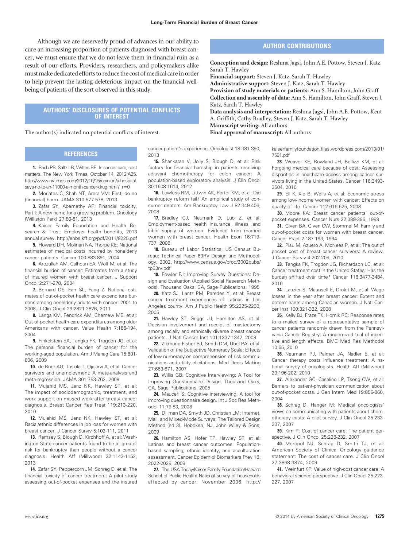Although we are deservedly proud of advances in our ability to cure an increasing proportion of patients diagnosed with breast cancer, we must ensure that we do not leave them in financial ruin as a result of our efforts. Providers, researchers, and policymakers alike must make dedicated efforts to reduce the cost of medical care in order to help prevent the lasting deleterious impact on the financial wellbeing of patients of the sort observed in this study.

#### **AUTHORS' DISCLOSURES OF POTENTIAL CONFLICTS OF INTEREST**

The author(s) indicated no potential conflicts of interest.

#### **REFERENCES**

**1.** Bach PB, Saltz LB, Wittes RE: In cancer care, cost matters. The New York Times, October 14, 2012:A25. [http://www.nytimes.com/2012/10/15/opinion/a-hospital](http://www.nytimes.com/2012/10/15/opinion/a-hospital-says-no-to-an-11000-a-month-cancer-drug.html?_r=0)says-no-to-an-11000-a-month-cancer-drug.html? r=0

**2.** Moriates C, Shah NT, Arora VM: First, do no (financial) harm. JAMA 310:577-578, 2013

**3.** Zafar SY, Abernethy AP: Financial toxicity, Part I: A new name for a growing problem. Oncology (Williston Park) 27:80-81, 2013

**4.** Kaiser Family Foundation and Health Research & Trust: Employer health benefits, 2013 annual survey.<http://ehbs.kff.org/pdf/2011/8225.pdf>

**5.** Howard DH, Molinari NA, Thorpe KE: National estimates of medical costs incurred by nonelderly cancer patients. Cancer 100:883-891, 2004

**6.** Arozullah AM, Calhoun EA, Wolf M, et al: The financial burden of cancer: Estimates from a study of insured women with breast cancer. J Support Oncol 2:271-278, 2004

**7.** Bernard DS, Farr SL, Fang Z: National estimates of out-of-pocket health care expenditure burdens among nonelderly adults with cancer: 2001 to 2008. J Clin Oncol 29:2821-2826, 2011

**8.** Langa KM, Fendrick AM, Chernew ME, et al: Out-of-pocket health-care expenditures among older Americans with cancer. Value Health 7:186-194, 2004

**9.** Finkelstein EA, Tangka FK, Trogdon JG, et al: The personal financial burden of cancer for the working-aged population. Am J Manag Care 15:801- 806, 2009

10. de Boer AG, Taskila T, Ojajärvi A, et al: Cancer survivors and unemployment: A meta-analysis and meta-regression. JAMA 301:753-762, 2009

**11.** Mujahid MS, Janz NK, Hawley ST, et al: The impact of sociodemographic, treatment, and work support on missed work after breast cancer diagnosis. Breast Cancer Res Treat 119:213-220, 2010

**12.** Mujahid MS, Janz NK, Hawley ST, et al: Racial/ethnic differences in job loss for women with breast cancer. J Cancer Surviv 5:102-111, 2011

**13.** Ramsey S, Blough D, Kirchhoff A, et al: Washington State cancer patients found to be at greater risk for bankruptcy than people without a cancer diagnosis. Health Aff (Millwood) 32:1143-1152, 2013

**14.** Zafar SY, Peppercorn JM, Schrag D, et al: The financial toxicity of cancer treatment: A pilot study assessing out-of-pocket expenses and the insured cancer patient's experience. Oncologist 18:381-390, 2013

**15.** Shankaran V, Jolly S, Blough D, et al: Risk factors for financial hardship in patients receiving adjuvant chemotherapy for colon cancer: A population-based exploratory analysis. J Clin Oncol 30:1608-1614, 2012

**16.** Lawless RM, Littwin AK, Porter KM, et al: Did bankruptcy reform fail? An empirical study of consumer debtors. Am Bankruptcy Law J 82:349-406, 2008

**17.** Bradley CJ, Neumark D, Luo Z, et al: Employment-based health insurance, illness, and labor supply of women: Evidence from married women with breast cancer. Health Econ 16:719- 737, 2006

**18.** Bureau of Labor Statistics, US Census Bureau: Technical Paper 63RV Design and Methodology, 2002. [http://www.census.gov/prod/2002pubs/](http://www.census.gov/prod/2002pubs/tp63rv.pdf) [tp63rv.pdf](http://www.census.gov/prod/2002pubs/tp63rv.pdf)

**19.** Fowler FJ: Improving Survey Questions: Design and Evaluation (Applied Social Research Methods). Thousand Oaks, CA, Sage Publications, 1995

**20.** Katz SJ, Lantz PM, Paredes Y, et al: Breast cancer treatment experiences of Latinas in Los Angeles county. Am J Public Health 95:2225-2230, 2005

**21.** Hawley ST, Griggs JJ, Hamilton AS, et al: Decision involvement and receipt of mastectomy among racially and ethnically diverse breast cancer patients. J Natl Cancer Inst 101:1337-1347, 2009

**22.** Zikmund-Fisher BJ, Smith DM, Ubel PA, et al: Validation of the Subjective Numeracy Scale: Effects of low numeracy on comprehension of risk communications and utility elicitations. Med Decis Making 27:663-671, 2007

**23.** Willis GB: Cognitive Interviewing: A Tool for Improving Questionnaire Design. Thousand Oaks, CA, Sage Publications, 2005

**24.** Mauceri S: Cognitive interviewing: A tool for improving questionnaire design. Int J Soc Res Methodol 11:79-83, 2008

**25.** Dillman DA, Smyth JD, Christian LM: Internet, Mail, and Mixed-Mode Surveys: The Tailored Design Method (ed 3). Hoboken, NJ, John Wiley & Sons, 2009

**26.** Hamilton AS, Hofer TP, Hawley ST, et al: Latinas and breast cancer outcomes: Populationbased sampling, ethnic identity, and acculturation assessment. Cancer Epidemiol Biomarkers Prev 18: 2022-2029, 2009

**27.** The USA Today/Kaiser Family Foundation/Harvard School of Public Health: National survey of households affected by cancer, November 2006. [http://](http://kaiserfamilyfoundation.files.wordpress.com/2013/01/7591.pdf)

#### **AUTHOR CONTRIBUTIONS**

**Conception and design:** Reshma Jagsi, John A.E. Pottow, Steven J. Katz, Sarah T. Hawley

**Financial support:** Steven J. Katz, Sarah T. Hawley

**Administrative support:** Steven J. Katz, Sarah T. Hawley

**Provision of study materials or patients:** Ann S. Hamilton, John Graff **Collection and assembly of data:** Ann S. Hamilton, John Graff, Steven J. Katz, Sarah T. Hawley

**Data analysis and interpretation:** Reshma Jagsi, John A.E. Pottow, Kent A. Griffith, Cathy Bradley, Steven J. Katz, Sarah T. Hawley **Manuscript writing:** All authors

**Final approval of manuscript:** All authors

[kaiserfamilyfoundation.files.wordpress.com/2013/01/](http://kaiserfamilyfoundation.files.wordpress.com/2013/01/7591.pdf) [7591.pdf](http://kaiserfamilyfoundation.files.wordpress.com/2013/01/7591.pdf)

**28.** Weaver KE, Rowland JH, Bellizzi KM, et al: Forgoing medical care because of cost: Assessing disparities in healthcare access among cancer survivors living in the United States. Cancer 116:3493- 3504, 2010

**29.** Ell K, Xie B, Wells A, et al: Economic stress among low-income women with cancer: Effects on quality of life. Cancer 112:616-625, 2008

**30.** Moore KA: Breast cancer patients' out-ofpocket expenses. Cancer Nurs 22:389-396, 1999

**31.** Given BA, Given CW, Stommel M: Family and out-of-pocket costs for women with breast cancer. Cancer Pract 2:187-193, 1994

**32.** Pisu M, Azuero A, McNees P, et al: The out of pocket cost of breast cancer survivors: A review. J Cancer Surviv 4:202-209, 2010

**33.** Tangka FK, Trogdon JG, Richardson LC, et al: Cancer treatment cost in the United States: Has the burden shifted over time? Cancer 116:3477-3484, 2010

**34.** Lauzier S, Maunsell E, Drolet M, et al: Wage losses in the year after breast cancer: Extent and determinants among Canadian women. J Natl Cancer Inst 100:321-332, 2008

**35.** Kelly BJ, Fraze TK, Hornik RC: Response rates to a mailed survey of a representative sample of cancer patients randomly drawn from the Pennsylvania Cancer Registry: A randomized trial of incentive and length effects. BMC Med Res Methodol 10:65, 2010

**36.** Neumann PJ, Palmer JA, Nadler E, et al: Cancer therapy costs influence treatment: A national survey of oncologists. Health Aff (Millwood) 29:196-202, 2010

**37.** Alexander GC, Casalino LP, Tseng CW, et al: Barriers to patient-physician communication about out-of-pocket costs. J Gen Intern Med 19:856-860, 2004

**38.** Schrag D, Hanger M: Medical oncologists' views on communicating with patients about chemotherapy costs: A pilot survey. J Clin Oncol 25:233- 237, 2007

**39.** Kim P: Cost of cancer care: The patient perspective. J Clin Oncol 25:228-232, 2007

**40.** Meropol NJ, Schrag D, Smith TJ, et al: American Society of Clinical Oncology guidance statement: The cost of cancer care. J Clin Oncol 27:3868-3874, 2009

**41.** Weinfurt KP: Value of high-cost cancer care: A behavioral science perspective. J Clin Oncol 25:223- 227, 2007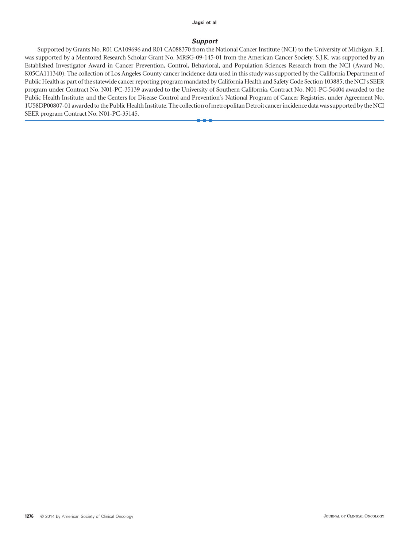#### **Jagsi et al**

#### *Support*

Supported by Grants No. R01 CA109696 and R01 CA088370 from the National Cancer Institute (NCI) to the University of Michigan. R.J. was supported by a Mentored Research Scholar Grant No. MRSG-09-145-01 from the American Cancer Society. S.J.K. was supported by an Established Investigator Award in Cancer Prevention, Control, Behavioral, and Population Sciences Research from the NCI (Award No. K05CA111340). The collection of Los Angeles County cancer incidence data used in this study was supported by the California Department of Public Health as part of the statewide cancer reporting program mandated by California Health and Safety Code Section 103885; the NCI's SEER program under Contract No. N01-PC-35139 awarded to the University of Southern California, Contract No. N01-PC-54404 awarded to the Public Health Institute; and the Centers for Disease Control and Prevention's National Program of Cancer Registries, under Agreement No. 1U58DP00807-01 awarded to the Public Health Institute. The collection of metropolitan Detroit cancer incidence data was supported by the NCI SEER program Contract No. N01-PC-35145.

■■■